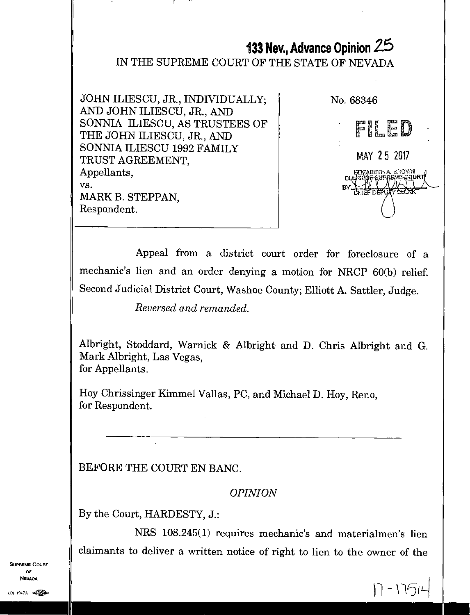# **133 Nev., Advance Opinion 2.5**

#### IN THE SUPREME COURT OF THE STATE OF NEVADA

JOHN ILIESCU, JR., INDIVIDUALLY; AND JOHN ILIESCU, JR., AND SONNIA ILIESCU, AS TRUSTEES OF THE JOHN ILIESCU, JR., AND SONNIA ILIESCU 1992 FAMILY TRUST AGREEMENT, Appellants, vs. MARK B. STEFFAN, Respondent.



 $|1 - 175|$ 

Appeal from a district court order for foreclosure of a mechanic's lien and an order denying a motion for NRCP 60(b) relief. Second Judicial District Court, Washoe County; Elliott A. Sattler, Judge.

*Reversed and remanded.* 

Albright, Stoddard, Warnick & Albright and D. Chris Albright and G. Mark Albright, Las Vegas, for Appellants.

Hoy Chrissinger Kimmel Vallas, PC, and Michael D. Hoy, Reno, for Respondent.

BEFORE THE COURT EN BANC.

*OPINION* 

By the Court, HARDESTY, J.:

NRS 108.245(1) requires mechanic's and materialmen's lien claimants to deliver a written notice of right to lien to the owner of the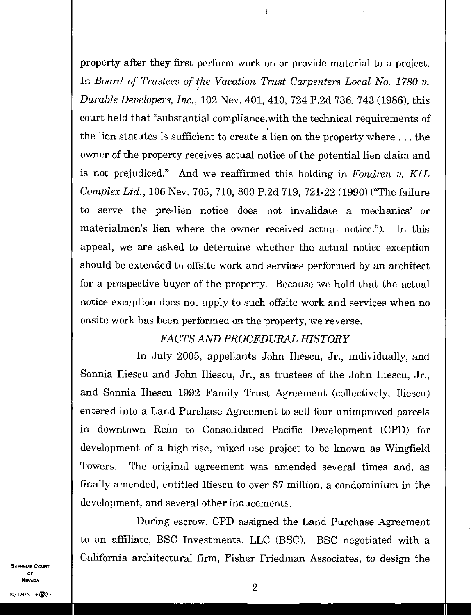property after they first perform work on or provide material to a project. In *Board of Trustees of the Vacation Trust Carpenters Local No. 1780 v. Durable Developers, Inc.,* 102 Nev. 401, 410, 724 P.2d 736, 743 (1986), this court held that "substantial compliance with the technical requirements of the lien statutes is sufficient to create a lien on the property where . . . the owner of the property receives actual notice of the potential lien claim and is not prejudiced." And we reaffirmed this holding in *Fondren v. K/L Complex Ltd.,* 106 Nev. 705, 710, 800 P.2d 719, 721-22 (1990) ("The failure to serve the pre-lien notice does not invalidate a mechanics' or materialmen's lien where the owner received actual notice."). In this appeal, we are asked to determine whether the actual notice exception should be extended to offsite work and services performed by an architect for a prospective buyer of the property. Because we hold that the actual notice exception does not apply to such offsite work and services when no onsite work has been performed on the property, we reverse.

### *FACTS AND PROCEDURAL HISTORY*

In July 2005, appellants John Iliescu, Jr., individually, and Sonnia Iliescu and John Iliescu, Jr., as trustees of the John Iliescu, Jr., and Sonnia Iliescu 1992 Family Trust Agreement (collectively, Iliescu) entered into a Land Purchase Agreement to sell four unimproved parcels in downtown Reno to Consolidated Pacific Development (CPD) for development of a high-rise, mixed-use project to be known as Wingfield Towers. The original agreement was amended several times and, as finally amended, entitled Iliescu to over \$7 million, a condominium in the development, and several other inducements.

During escrow, CPD assigned the Land Purchase Agreement to an affiliate, BSC Investments, LLC (BSC). BSC negotiated with a California architectural firm, Fisher Friedman Associates, to design the

SUPREME COURT OF<sub>1</sub> NEVADA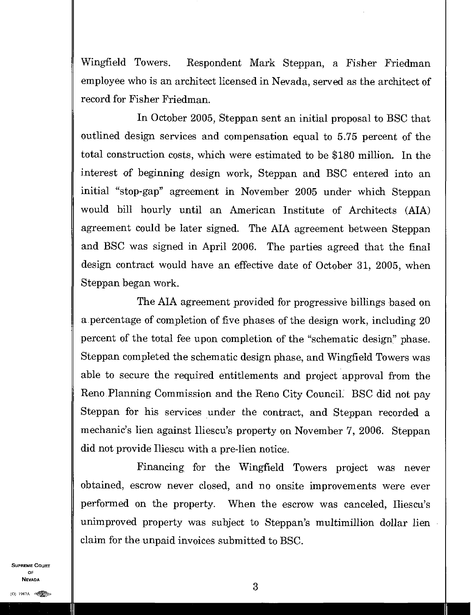Wingfield Towers. Respondent Mark Steppan, a Fisher Friedman employee who is an architect licensed in Nevada, served as the architect of record for Fisher Friedman

In October 2005, Steppan sent an initial proposal to BSC that outlined design services and compensation equal to 5.75 percent of the total construction costs, which were estimated to be \$180 million. In the interest of beginning design work, Steppan and BSC entered into an initial "stop-gap" agreement in November 2005 under which Steppan would bill hourly until an American Institute of Architects (MA) agreement could be later signed. The MA agreement between Steppan and BSC was signed in April 2006. The parties agreed that the final design contract would have an effective date of October 31, 2005, when Steppan began work.

The AIA agreement provided for progressive billings based on a percentage of completion of five phases of the design work, including 20 percent of the total fee upon completion of the "schematic design" phase. Steppan completed the schematic design phase, and Wingfield Towers was able to secure the required entitlements and project approval from the Reno Planning Commission and the Reno City Council. BSC did not pay Steppan for his services under the contract, and Steppan recorded a mechanic's lien against Iliescu's property on November 7, 2006. Steppan did not provide Iliescu with a pre-lien notice.

Financing for the Wingfield Towers project was never obtained, escrow never closed, and no onsite improvements were ever performed on the property. When the escrow was canceled, Iliescu's unimproved property was subject to Steppan's multimillion dollar lien claim for the unpaid invoices submitted to BSC.

**SUPREME COURT** OF NEVADA

3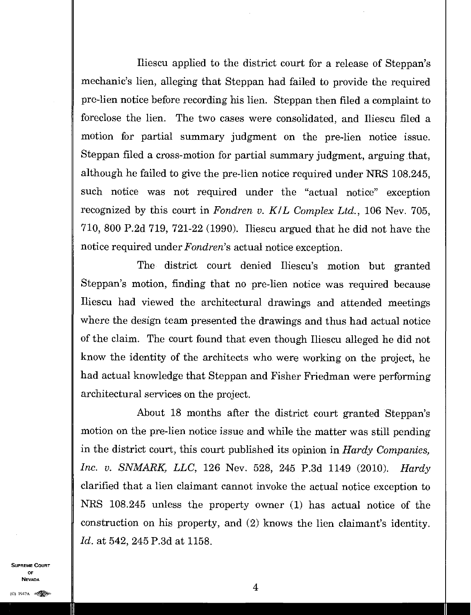Iliescu applied to the district court for a release of Steppan's mechanic's lien, alleging that Steppan had failed to provide the required pre-lien notice before recording his lien. Steppan then filed a complaint to foreclose the lien. The two cases were consolidated, and Iliescu filed a motion for partial summary judgment on the pre-lien notice issue. Steppan filed a cross-motion for partial summary judgment, arguing that, although he failed to give the pre-lien notice required under NRS 108.245, such notice was not required under the "actual notice" exception recognized by this court in *Fondren v. KIL Complex Ltd.,* 106 Nev. 705, 710, 800 P.2d 719, 721-22 (1990). Iliescu argued that he did not have the notice required under *Fondren's* actual notice exception.

The district court denied Iliescu's motion but granted Steppan's motion, finding that no pre-lien notice was required because Iliescu had viewed the architectural drawings and attended meetings where the design team presented the drawings and thus had actual notice of the claim. The court found that even though Iliescu alleged he did not know the identity of the architects who were working on the project, he had actual knowledge that Steppan and Fisher Friedman were performing architectural services on the project.

About 18 months after the district court granted Steppan's motion on the pre-lien notice issue and while the matter was still pending in the district court, this court published its opinion in *Hardy Companies, Inc. v. SNMARK, LLC,* 126 Nev. 528, 245 P.3d 1149 (2010). *Hardy*  clarified that a lien claimant cannot invoke the actual notice exception to NRS 108.245 unless the property owner (1) has actual notice of the construction on his property, and (2) knows the lien claimant's identity. *Id.* at 542, 245 P.3d at 1158.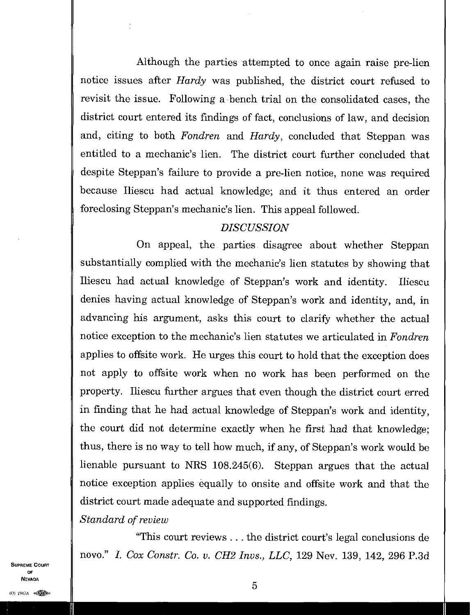Although the parties attempted to once again raise pre-lien notice issues after *Hardy* was published, the district court refused to revisit the issue. Following a bench trial on the consolidated cases, the district court entered its findings of fact, conclusions of law, and decision and, citing to both *Fondren* and *Hardy,* concluded that Steppan was entitled to a mechanic's lien. The district court further concluded that despite Steppan's failure to provide a pre-lien notice, none was required because Iliescu had actual knowledge; and it thus entered an order foreclosing Steppan's mechanic's lien. This appeal followed.

### *DISCUSSION*

On appeal, the parties disagree about whether Steppan substantially complied with the mechanic's lien statutes by showing that Iliescu had actual knowledge of Steppan's work and identity. Iliescu denies having actual knowledge of Steppan's work and identity, and, in advancing his argument, asks this court to clarify whether the actual notice exception to the mechanic's lien statutes we articulated in *Fondren* applies to offsite work. He urges this court to hold that the exception does not apply to offsite work when no work has been performed on the property. Iliescu further argues that even though the district court erred in finding that he had actual knowledge of Steppan's work and identity, the court did not determine exactly when he first had that knowledge; thus, there is no way to tell how much, if any, of Steppan's work would be lienable pursuant to NRS 108.245(6). Steppan argues that the actual notice exception applies equally to onsite and offsite work and that the district court made adequate and supported findings.

*Standard of review* 

 $\overline{\phantom{a}}$ 

"This court reviews ... the district court's legal conclusions de novo." *L Cox Constr. Co. v. CH2 Invs., LLC,* 129 Nev. 139, 142, 296 P.3d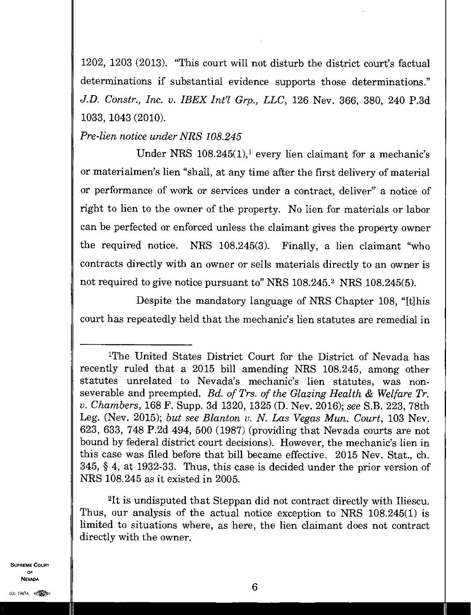1202, 1203 (2013). "This court will not disturb the district court's factual determinations if substantial evidence supports those determinations." *J.D. Constr., Inc. v. IBEX Inel Grp., LLC,* 126 Nev. 366, 380, 240 P.3d 1033, 1043 (2010).

## *Pre-lien notice under NRS 108.245*

Under NRS  $108.245(1)$ , every lien claimant for a mechanic's or materialmen's lien "shall, at any time after the first delivery of material or performance of work or services under a contract, deliver" a notice of right to lien to the owner of the property. No lien for materials or labor can be perfected or enforced unless the claimant gives the property owner the required notice. NRS 108.245(3). Finally, a lien claimant "who contracts directly with an owner or sells materials directly to an owner is not required to give notice pursuant to" NRS 108.245.<sup>2</sup> NRS 108.245(5).

Despite the mandatory language of NRS Chapter 108, "[t]his court has repeatedly held that the mechanic's lien statutes are remedial in

<sup>2</sup>It is undisputed that Steppan did not contract directly with Iliescu. Thus, our analysis of the actual notice exception to NRS 108.245(1) is limited to situations where, as here, the lien claimant does not contract directly with the owner.

<sup>&#</sup>x27;The United States District Court for the District of Nevada has recently ruled that a 2015 bill amending MRS 108.245, among other statutes unrelated to Nevada's mechanic's lien statutes, was nonseverable and preempted. *Bd. of Trs. of the Glazing Health & Welfare Tr. v. Chambers,* 168 F. Supp. 3d 1320, 1325 (D. Nev. 2016); *see* S.B. 223, 78th Leg. (Nev. 2015); *but see Blanton v. N. Las Vegas Mun. Court*, 103 Nev. 623, 633, 748 P.2d 494, 500 (1987) (providing that Nevada courts are not bound by federal district court decisions). However, the mechanic's lien in this case was filed before that bill became effective. 2015 Nev. Stat., ch. 345, § 4, at 1932-33. Thus, this case is decided under the prior version of MRS 108.245 as it existed in 2005.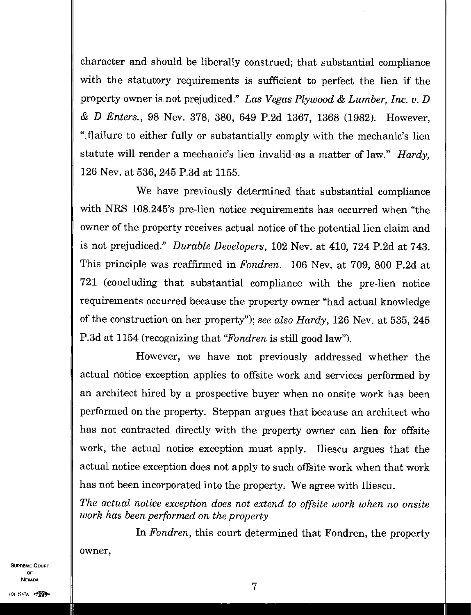character and should be liberally construed; that substantial compliance with the statutory requirements is sufficient to perfect the lien if the property owner is not prejudiced." *Las Vegas Plywood & Lumber, Inc. v. D & D Enters.,* 98 Nev. 378, 380, 649 P.2d 1367, 1368 (1982). However, "[f] ailure to either fully or substantially comply with the mechanic's lien statute will render a mechanic's lien invalid• as a matter of law." *Hardy,*  126 Nev. at 536, 245 P.3d at 1155.

We have previously determined that substantial compliance with NRS 108.245's pre-lien notice requirements has occurred when "the owner of the property receives actual notice of the potential lien claim and is not prejudiced." *Durable Developers,* 102 Nev. at 410, 724 P.2d at 743. This principle was reaffirmed in *Fondren.* 106 Nev. at 709, 800 P.2d at 721 (concluding that substantial compliance with the pre-lien notice requirements occurred because the property owner "had actual knowledge of the construction on her property"); *see also Hardy,* 126 Nev. at 535, 245 P.3d at 1154 (recognizing that *"Fondren is* still good law").

However, we have not previously addressed whether the actual notice exception applies to offsite work and services performed by an architect hired by a prospective buyer when no onsite work has been performed on the property. Steppan argues that because an architect who has not contracted directly with the property owner can lien for offsite work, the actual notice exception must apply. Iliescu argues that the actual notice exception does not apply to such offsite work when that work has not been incorporated into the property. We agree with Iliescu.

*The actual notice exception does not extend to offsite work when no onsite work has been performed on the property* 

In *Fondren,* this court determined that Fondren, the property owner,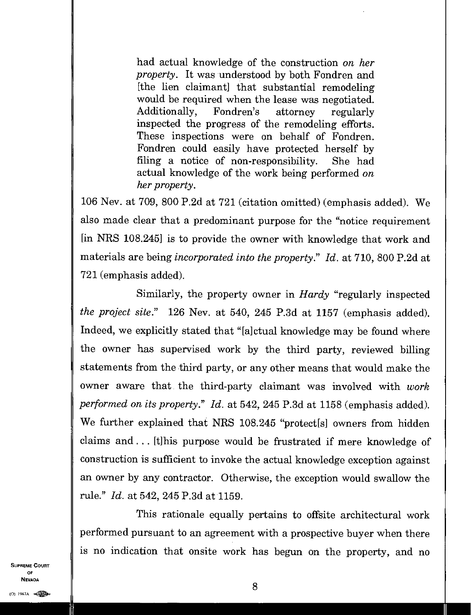had actual knowledge of the construction *on her property.* It was understood by both Fondren and [the lien claimant] that substantial remodeling would be required when the lease was negotiated. Additionally, Fondren's attorney regularly inspected the progress of the remodeling efforts. These inspections were on behalf of Fondren. Fondren could easily have protected herself by filing a notice of non-responsibility. She had actual knowledge of the work being performed *on her property.* 

106 Nev. at 709, 800 P.2d at 721 (citation omitted) (emphasis added). We also made clear that a predominant purpose for the "notice requirement [in NRS 108.245] is to provide the owner with knowledge that work and materials are being *incorporated into the property." Id.* at 710, 800 P.2d at 721 (emphasis added).

Similarly, the property owner in *Hardy* "regularly inspected *the project site."* 126 Nev. at 540, 245 P.3d at 1157 (emphasis added). Indeed, we explicitly stated that "[a]ctual knowledge may be found where the owner has supervised work by the third party, reviewed billing statements from the third party, or any other means that would make the owner aware that the third-party claimant was involved with *work performed on its property." Id.* at 542, 245 P.3d at 1158 (emphasis added). We further explained that NRS 108.245 "protect[s] owners from hidden claims and. . . [t]his purpose would be frustrated if mere knowledge of construction is sufficient to invoke the actual knowledge exception against an owner by any contractor. Otherwise, the exception would swallow the rule." *Id.* at 542, 245 P.3d at 1159.

This rationale equally pertains to offsite architectural work performed pursuant to an agreement with a prospective buyer when there is no indication that onsite work has begun on the property, and no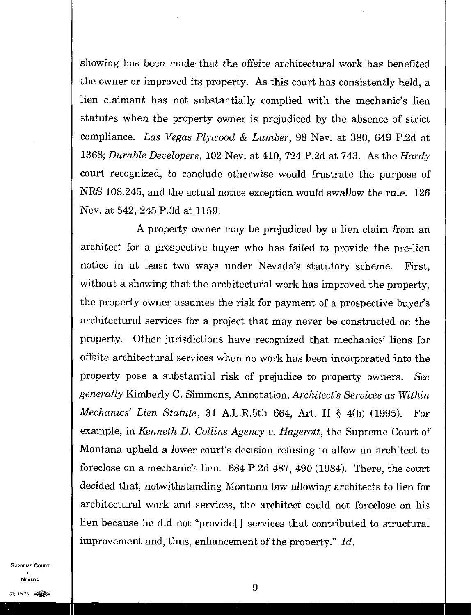showing has been made that the offsite architectural work has benefited the owner or improved its property. As this court has consistently held, a lien claimant has not substantially complied with the mechanic's lien statutes when the property owner is prejudiced by the absence of strict compliance. *Las Vegas Plywood & Lumber,* 98 Nev. at 380, 649 P.2d at 1368; *Durable Developers,* 102 Nev. at 410, 724 P.2d at 743. As the *Hardy*  court recognized, to conclude otherwise would frustrate the purpose of NRS 108.245, and the actual notice exception would swallow the rule. 126 Nev. at 542, 245 P.3d at 1159.

A property owner may be prejudiced by a lien claim from an architect for a prospective buyer who has failed to provide the pre-lien notice in at least two ways under Nevada's statutory scheme. First, without a showing that the architectural work has improved the property. the property owner assumes the risk for payment of a prospective buyer's architectural services for a project that may never be constructed on the property. Other jurisdictions have recognized that mechanics' liens for offsite architectural services when no work has been incorporated into the property pose a substantial risk of prejudice to property owners. *See generally* Kimberly C Simmons, Annotation, *Architect's Services as Within Mechanics' Lien Statute,* 31 A.L.R.5th 664, Art. II § 4(b) (1995). For example, in *Kenneth D. Collins Agency v. Hagerott,* the Supreme Court of Montana upheld a lower court's decision refusing to allow an architect to foreclose on a mechanic's lien. 684 P.2d 487, 490 (1984). There, the court decided that, notwithstanding Montana law allowing architects to lien for architectural work and services, the architect could not foreclose on his lien because he did not "provide[ ] services that contributed to structural improvement and, thus, enhancement of the property." *Id.*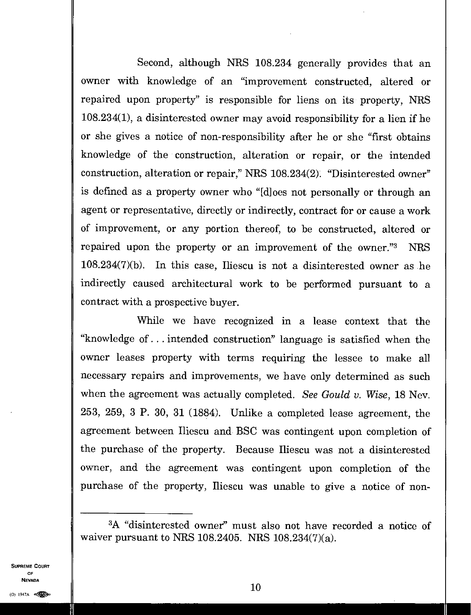Second, although NRS 108.234 generally provides that an owner with knowledge of an "improvement constructed, altered or repaired upon property" is responsible for liens on its property, NRS 108.234(1), a disinterested owner may avoid responsibility for a lien if he or she gives a notice of non-responsibility after he or she "first obtains knowledge of the construction, alteration or repair, or the intended construction, alteration or repair," NRS 108.234(2). "Disinterested owner" is defined as a property owner who "[d] oes not personally or through an agent or representative, directly or indirectly, contract for or cause a work of improvement, or any portion thereof, to be constructed, altered or repaired upon the property or an improvement of the owner." NRS 108.234(7)(b). In this case, Iliescu is not a disinterested owner as he indirectly caused architectural work to be performed pursuant to a contract with a prospective buyer.

While we have recognized in a lease context that the "knowledge of. .. intended construction" language is satisfied when the owner leases property with terms requiring the lessee to make all necessary repairs and improvements, we have only determined as such when the agreement was actually completed. *See Gould v. Wise,* 18 Nev. 253, 259, 3 P. 30, 31 (1884). Unlike a completed lease agreement, the agreement between Iliescu and BSC was contingent upon completion of the purchase of the property. Because Iliescu was not a disinterested owner, and the agreement was contingent upon completion of the purchase of the property, Iliescu was unable to give a notice of non-

<sup>3</sup>A "disinterested owner" must also not have recorded a notice of waiver pursuant to NRS 108.2405. NRS 108.234(7)(a).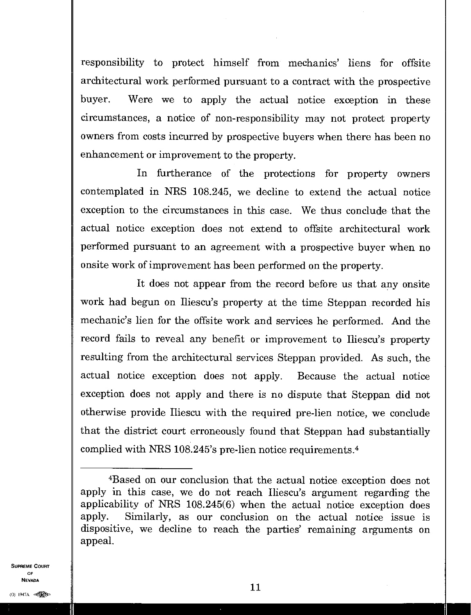responsibility to protect himself from mechanics' liens for offsite architectural work performed pursuant to a contract with the prospective buyer. Were we to apply the actual notice exception in these circumstances, a notice of non-responsibility may not protect property owners from costs incurred by prospective buyers when there has been no enhancement or improvement to the property.

In furtherance of the protections for property owners contemplated in NRS 108.245, we decline to extend the actual notice exception to the circumstances in this case. We thus conclude that the actual notice exception does not extend to offsite architectural work performed pursuant to an agreement with a prospective buyer when no onsite work of improvement has been performed on the property.

It does not appear from the record before us that any onsite work had begun on Iliescu's property at the time Steppan recorded his mechanic's lien for the offsite work and services he performed. And the record fails to reveal any benefit or improvement to Iliescu's property resulting from the architectural services Steppan provided. As such, the actual notice exception does not apply. Because the actual notice exception does not apply and there is no dispute that Steppan did not otherwise provide Iliescu with the required pre-lien notice, we conclude that the district court erroneously found that Steppan had substantially complied with NRS 108.245's pre-lien notice requirements. <sup>4</sup>

SUPREME COURT OF NEVADA

 $11$ 

<sup>4</sup>Based on our conclusion that the actual notice exception does not apply in this case, we do not reach Iliescu's argument regarding the applicability of NRS 108.245(6) when the actual notice exception does apply. Similarly, as our conclusion on the actual notice issue is dispositive, we decline to reach the parties' remaining arguments on appeal.